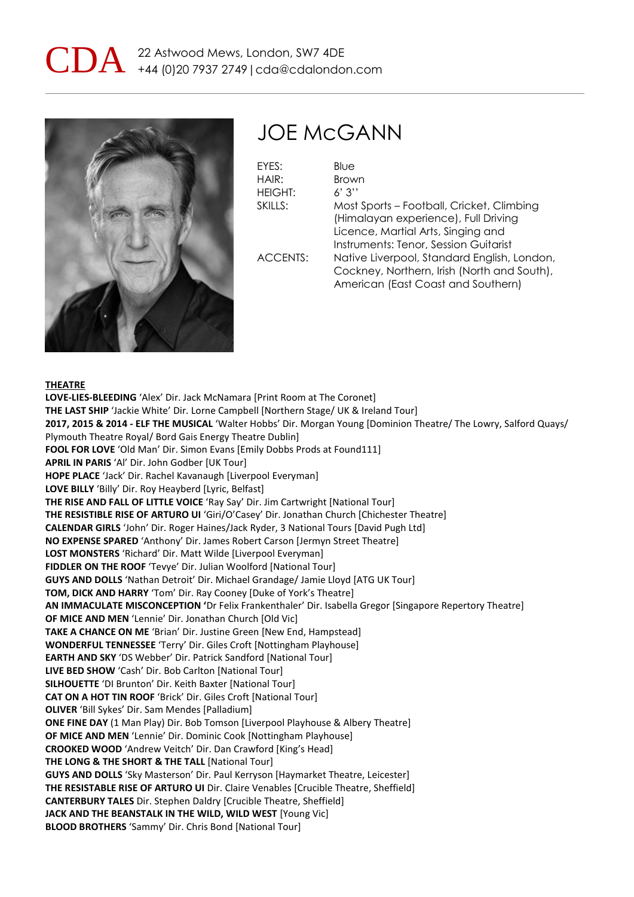



## JOE McGANN

EYES: Blue HAIR: Brown HEIGHT: 6' 3'' SKILLS: Most Sports – Football, Cricket, Climbing (Himalayan experience), Full Driving Licence, Martial Arts, Singing and Instruments: Tenor, Session Guitarist ACCENTS: Native Liverpool, Standard English, London, Cockney, Northern, Irish (North and South), American (East Coast and Southern)

#### **THEATRE**

**LOVE-LIES-BLEEDING** 'Alex' Dir. Jack McNamara [Print Room at The Coronet] **THE LAST SHIP** 'Jackie White' Dir. Lorne Campbell [Northern Stage/ UK & Ireland Tour] **2017, 2015 & 2014 - ELF THE MUSICAL** 'Walter Hobbs' Dir. Morgan Young [Dominion Theatre/ The Lowry, Salford Quays/ Plymouth Theatre Royal/ Bord Gais Energy Theatre Dublin] **FOOL FOR LOVE** 'Old Man' Dir. Simon Evans [Emily Dobbs Prods at Found111] **APRIL IN PARIS** 'Al' Dir. John Godber [UK Tour] **HOPE PLACE** 'Jack' Dir. Rachel Kavanaugh [Liverpool Everyman] **LOVE BILLY** 'Billy' Dir. Roy Heayberd [Lyric, Belfast] **THE RISE AND FALL OF LITTLE VOICE** 'Ray Say' Dir. Jim Cartwright [National Tour] **THE RESISTIBLE RISE OF ARTURO UI** 'Giri/O'Casey' Dir. Jonathan Church [Chichester Theatre] **CALENDAR GIRLS** 'John' Dir. Roger Haines/Jack Ryder, 3 National Tours [David Pugh Ltd] **NO EXPENSE SPARED** 'Anthony' Dir. James Robert Carson [Jermyn Street Theatre] **LOST MONSTERS** 'Richard' Dir. Matt Wilde [Liverpool Everyman] **FIDDLER ON THE ROOF** 'Tevye' Dir. Julian Woolford [National Tour] **GUYS AND DOLLS** 'Nathan Detroit' Dir. Michael Grandage/ Jamie Lloyd [ATG UK Tour] **TOM, DICK AND HARRY** 'Tom' Dir. Ray Cooney [Duke of York's Theatre] **AN IMMACULATE MISCONCEPTION '**Dr Felix Frankenthaler' Dir. Isabella Gregor [Singapore Repertory Theatre] **OF MICE AND MEN** 'Lennie' Dir. Jonathan Church [Old Vic] **TAKE A CHANCE ON ME** 'Brian' Dir. Justine Green [New End, Hampstead] **WONDERFUL TENNESSEE** 'Terry' Dir. Giles Croft [Nottingham Playhouse] **EARTH AND SKY** 'DS Webber' Dir. Patrick Sandford [National Tour] **LIVE BED SHOW** 'Cash' Dir. Bob Carlton [National Tour] **SILHOUETTE** 'DI Brunton' Dir. Keith Baxter [National Tour] **CAT ON A HOT TIN ROOF** 'Brick' Dir. Giles Croft [National Tour] **OLIVER** 'Bill Sykes' Dir. Sam Mendes [Palladium] **ONE FINE DAY** (1 Man Play) Dir. Bob Tomson [Liverpool Playhouse & Albery Theatre] **OF MICE AND MEN** 'Lennie' Dir. Dominic Cook [Nottingham Playhouse] **CROOKED WOOD** 'Andrew Veitch' Dir. Dan Crawford [King's Head] **THE LONG & THE SHORT & THE TALL** [National Tour] **GUYS AND DOLLS** 'Sky Masterson' Dir. Paul Kerryson [Haymarket Theatre, Leicester] **THE RESISTABLE RISE OF ARTURO UI** Dir. Claire Venables [Crucible Theatre, Sheffield] **CANTERBURY TALES** Dir. Stephen Daldry [Crucible Theatre, Sheffield] **JACK AND THE BEANSTALK IN THE WILD, WILD WEST** [Young Vic] **BLOOD BROTHERS** 'Sammy' Dir. Chris Bond [National Tour]